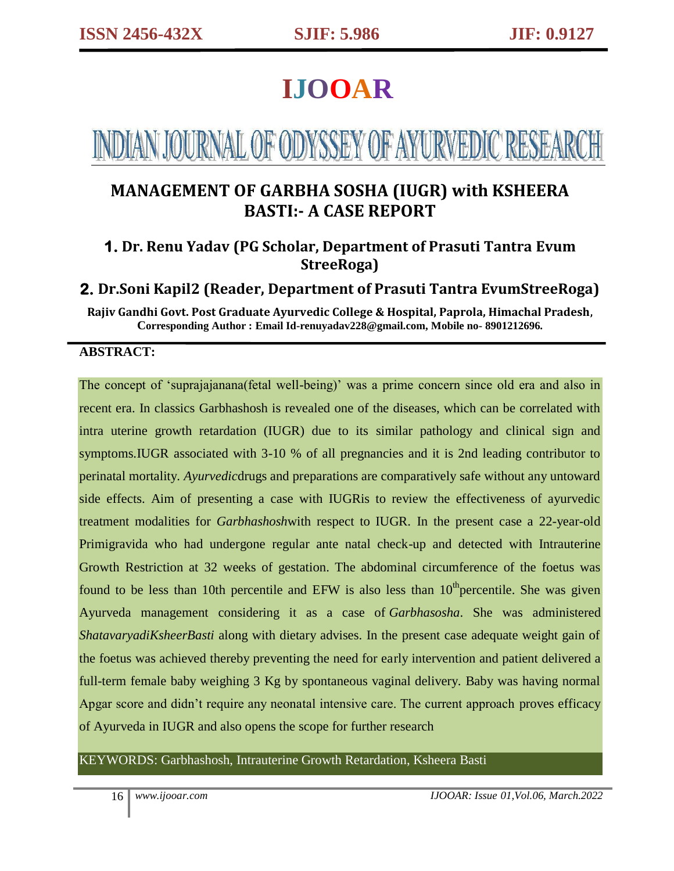# **IJOOAR**

# NDIAN JOURNAL OF ODYSSEY OF AYURVEDIC RESEAR

## **MANAGEMENT OF GARBHA SOSHA (IUGR) with KSHEERA BASTI:- A CASE REPORT**

## **1. Dr. Renu Yadav (PG Scholar, Department of Prasuti Tantra Evum StreeRoga)**

## **2. Dr.Soni Kapil2 (Reader, Department of Prasuti Tantra EvumStreeRoga)**

**Rajiv Gandhi Govt. Post Graduate Ayurvedic College & Hospital, Paprola, Himachal Pradesh, Corresponding Author : Email Id-renuyadav228@gmail.com, Mobile no- 8901212696.**

#### **ABSTRACT:**

The concept of 'suprajajanana(fetal well-being)' was a prime concern since old era and also in recent era. In classics Garbhashosh is revealed one of the diseases, which can be correlated with intra uterine growth retardation (IUGR) due to its similar pathology and clinical sign and symptoms.IUGR associated with 3-10 % of all pregnancies and it is 2nd leading contributor to perinatal mortality. *Ayurvedic*drugs and preparations are comparatively safe without any untoward side effects. Aim of presenting a case with IUGRis to review the effectiveness of ayurvedic treatment modalities for *Garbhashosh*with respect to IUGR. In the present case a 22-year-old Primigravida who had undergone regular ante natal check-up and detected with Intrauterine Growth Restriction at 32 weeks of gestation. The abdominal circumference of the foetus was found to be less than 10th percentile and EFW is also less than  $10<sup>th</sup>$  percentile. She was given Ayurveda management considering it as a case of *Garbhasosha*. She was administered *ShatavaryadiKsheerBasti* along with dietary advises. In the present case adequate weight gain of the foetus was achieved thereby preventing the need for early intervention and patient delivered a full-term female baby weighing 3 Kg by spontaneous vaginal delivery. Baby was having normal Apgar score and didn't require any neonatal intensive care. The current approach proves efficacy of Ayurveda in IUGR and also opens the scope for further research

#### KEYWORDS: Garbhashosh, Intrauterine Growth Retardation, Ksheera Basti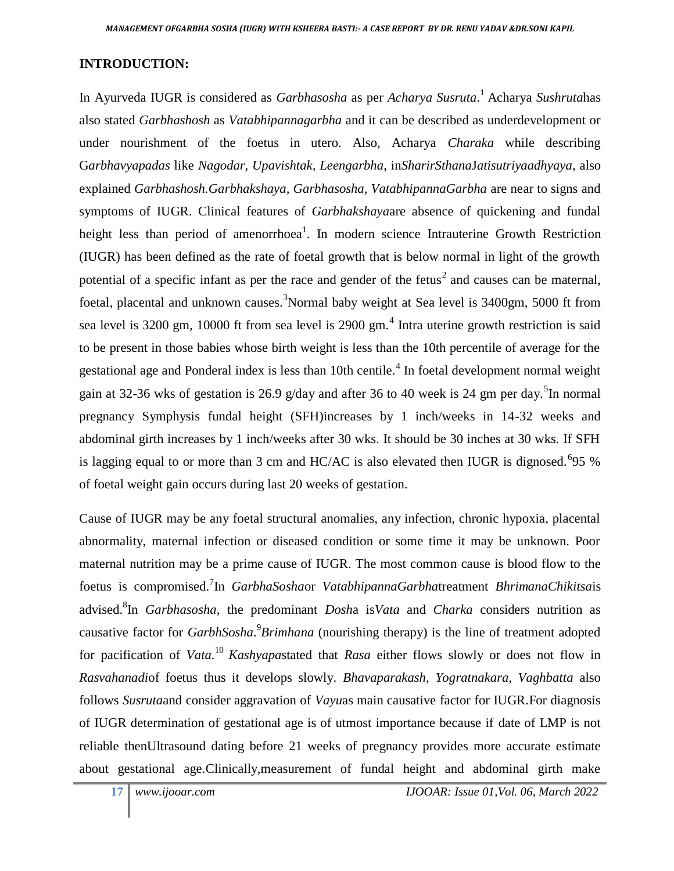### **INTRODUCTION:**

In Ayurveda IUGR is considered as *Garbhasosha* as per *Acharya Susruta*. <sup>1</sup>Acharya *Sushruta*has also stated *Garbhashosh* as *Vatabhipannagarbha* and it can be described as underdevelopment or under nourishment of the foetus in utero. Also, Acharya *Charaka* while describing G*arbhavyapadas* like *Nagodar, Upavishtak, Leengarbha*, in*SharirSthana*J*atisutriyaadhyaya*, also explained *Garbhashosh.Garbhakshaya, Garbhasosha, VatabhipannaGarbha* are near to signs and symptoms of IUGR. Clinical features of *Garbhakshaya*are absence of quickening and fundal height less than period of amenorrhoea<sup>1</sup>. In modern science Intrauterine Growth Restriction (IUGR) has been defined as the rate of foetal growth that is below normal in light of the growth potential of a specific infant as per the race and gender of the fetus<sup>2</sup> and causes can be maternal, foetal, placental and unknown causes.<sup>3</sup>Normal baby weight at Sea level is 3400gm, 5000 ft from sea level is 3200 gm, 10000 ft from sea level is 2900 gm.<sup>4</sup> Intra uterine growth restriction is said to be present in those babies whose birth weight is less than the 10th percentile of average for the gestational age and Ponderal index is less than 10th centile.<sup>4</sup> In foetal development normal weight gain at 32-36 wks of gestation is 26.9 g/day and after 36 to 40 week is 24 gm per day.<sup>5</sup>In normal pregnancy Symphysis fundal height (SFH)increases by 1 inch/weeks in 14-32 weeks and abdominal girth increases by 1 inch/weeks after 30 wks. It should be 30 inches at 30 wks. If SFH is lagging equal to or more than 3 cm and HC/AC is also elevated then IUGR is dignosed. <sup>6</sup>95 % of foetal weight gain occurs during last 20 weeks of gestation.

Cause of IUGR may be any foetal structural anomalies, any infection, chronic hypoxia, placental abnormality, maternal infection or diseased condition or some time it may be unknown. Poor maternal nutrition may be a prime cause of IUGR. The most common cause is blood flow to the foetus is compromised.<sup>7</sup> In *GarbhaSosha*or *VatabhipannaGarbha*treatment *BhrimanaChikitsa*is advised.<sup>8</sup> In *Garbhasosha*, the predominant *Dosh*a is*Vata* and *Charka* considers nutrition as causative factor for *GarbhSosha*. 9 *Brimhana* (nourishing therapy) is the line of treatment adopted for pacification of *Vata.*<sup>10</sup>*Kashyapa*stated that *Rasa* either flows slowly or does not flow in *Rasvahanadi*of foetus thus it develops slowly. *Bhavaparakash, Yogratnakara, Vaghbatta* also follows *Susruta*and consider aggravation of *Vayu*as main causative factor for IUGR.For diagnosis of IUGR determination of gestational age is of utmost importance because if date of LMP is not reliable thenUltrasound dating before 21 weeks of pregnancy provides more accurate estimate about gestational age.Clinically,measurement of fundal height and abdominal girth make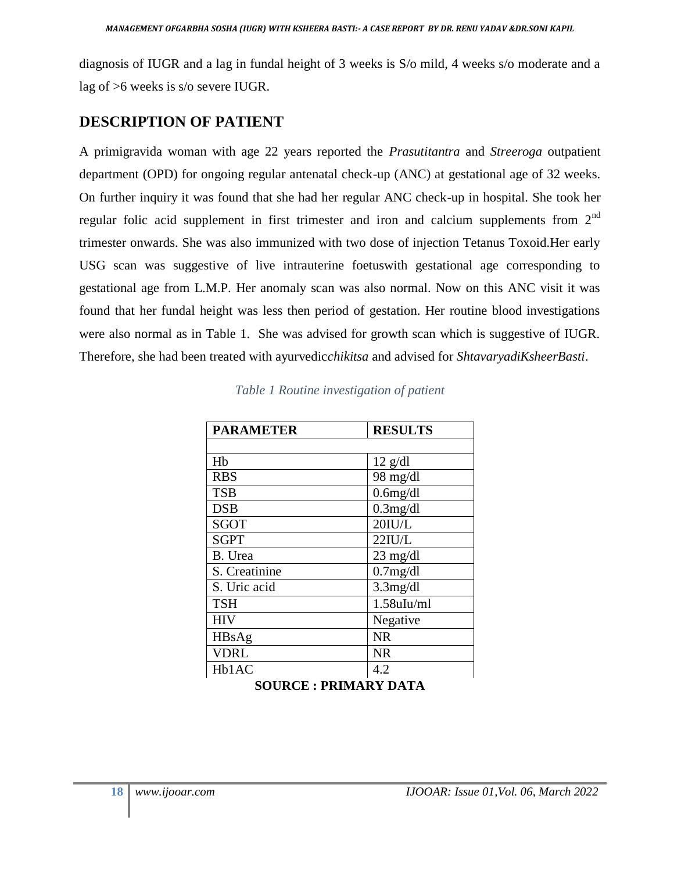diagnosis of IUGR and a lag in fundal height of 3 weeks is S/o mild, 4 weeks s/o moderate and a lag of >6 weeks is s/o severe IUGR.

### **DESCRIPTION OF PATIENT**

A primigravida woman with age 22 years reported the *Prasutitantra* and *Streeroga* outpatient department (OPD) for ongoing regular antenatal check-up (ANC) at gestational age of 32 weeks. On further inquiry it was found that she had her regular ANC check-up in hospital. She took her regular folic acid supplement in first trimester and iron and calcium supplements from  $2<sup>nd</sup>$ trimester onwards. She was also immunized with two dose of injection Tetanus Toxoid.Her early USG scan was suggestive of live intrauterine foetuswith gestational age corresponding to gestational age from L.M.P. Her anomaly scan was also normal. Now on this ANC visit it was found that her fundal height was less then period of gestation. Her routine blood investigations were also normal as in Table 1. She was advised for growth scan which is suggestive of IUGR. Therefore, she had been treated with ayurvedic*chikitsa* and advised for *ShtavaryadiKsheerBasti*.

| <b>PARAMETER</b> | <b>RESULTS</b>     |  |
|------------------|--------------------|--|
|                  |                    |  |
| Hb               | $12$ g/dl          |  |
| <b>RBS</b>       | 98 mg/dl           |  |
| <b>TSB</b>       | $0.6$ mg/dl        |  |
| <b>DSB</b>       | $0.3$ mg/dl        |  |
| <b>SGOT</b>      | $20$ IU/L          |  |
| <b>SGPT</b>      | 22IU/L             |  |
| B. Urea          | $23 \text{ mg/dl}$ |  |
| S. Creatinine    | $0.7$ mg/dl        |  |
| S. Uric acid     | $3.3$ mg/dl        |  |
| <b>TSH</b>       | $1.58$ uIu/ml      |  |
| <b>HIV</b>       | Negative           |  |
| HBsAg            | <b>NR</b>          |  |
| <b>VDRL</b>      | <b>NR</b>          |  |
| Hb1AC            | 4.2                |  |

| Table 1 Routine investigation of patient |  |  |  |  |  |
|------------------------------------------|--|--|--|--|--|
|------------------------------------------|--|--|--|--|--|

**SOURCE : PRIMARY DATA**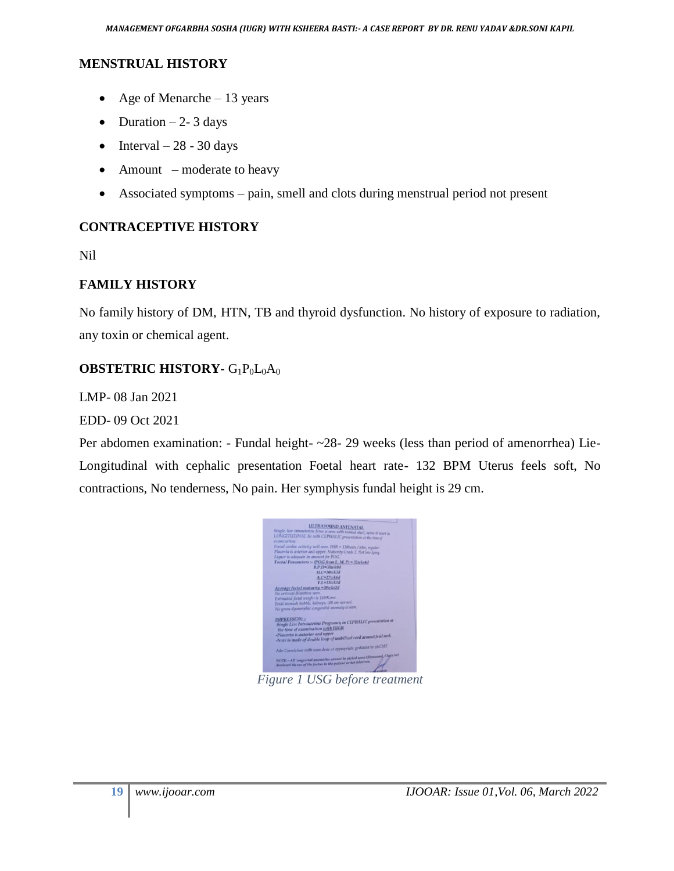#### **MENSTRUAL HISTORY**

- Age of Menarche 13 years
- Duration  $-2$  3 days
- $\bullet$  Interval 28 30 days
- Amount moderate to heavy
- Associated symptoms pain, smell and clots during menstrual period not present

#### **CONTRACEPTIVE HISTORY**

Nil

#### **FAMILY HISTORY**

No family history of DM, HTN, TB and thyroid dysfunction. No history of exposure to radiation, any toxin or chemical agent.

#### **OBSTETRIC HISTORY-** G<sub>1</sub>P<sub>0</sub>L<sub>0</sub>A<sub>0</sub>

LMP- 08 Jan 2021

EDD- 09 Oct 2021

Per abdomen examination: - Fundal height- ~28- 29 weeks (less than period of amenorrhea) Lie-Longitudinal with cephalic presentation Foetal heart rate- 132 BPM Uterus feels soft, No contractions, No tenderness, No pain. Her symphysis fundal height is 29 cm.



*Figure 1 USG before treatment*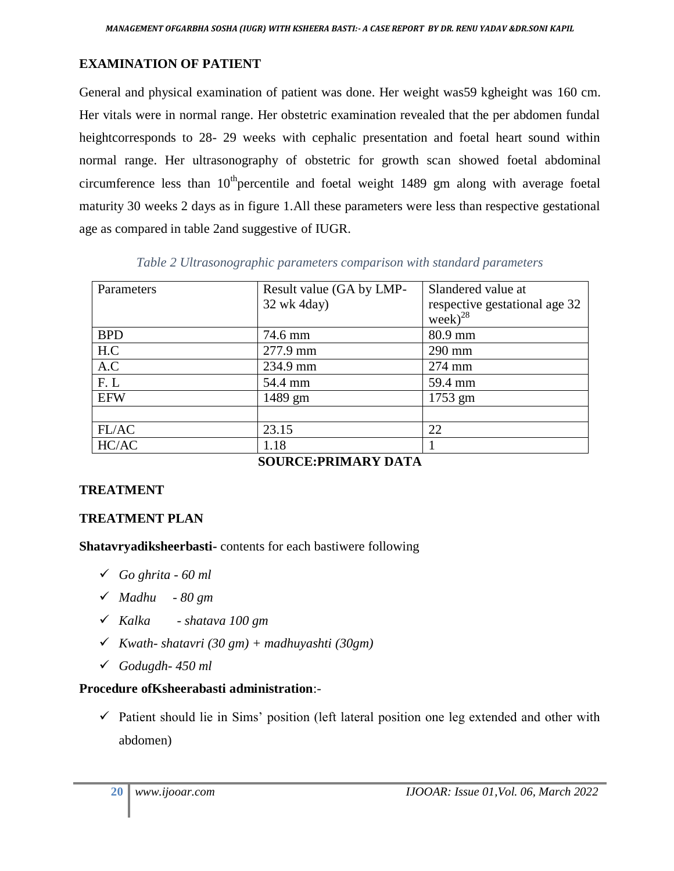## **EXAMINATION OF PATIENT**

General and physical examination of patient was done. Her weight was59 kgheight was 160 cm. Her vitals were in normal range. Her obstetric examination revealed that the per abdomen fundal heightcorresponds to 28- 29 weeks with cephalic presentation and foetal heart sound within normal range. Her ultrasonography of obstetric for growth scan showed foetal abdominal circumference less than 10<sup>th</sup>percentile and foetal weight 1489 gm along with average foetal maturity 30 weeks 2 days as in figure 1.All these parameters were less than respective gestational age as compared in table 2and suggestive of IUGR.

*Table 2 Ultrasonographic parameters comparison with standard parameters*

| Parameters | Result value (GA by LMP- | Slandered value at                                   |
|------------|--------------------------|------------------------------------------------------|
|            | 32 wk 4day)              |                                                      |
|            |                          | respective gestational age 32<br>week) <sup>28</sup> |
| <b>BPD</b> | 74.6 mm                  | 80.9 mm                                              |
| H.C        | 277.9 mm                 | 290 mm                                               |
| A.C        | 234.9 mm                 | 274 mm                                               |
| F.L        | 54.4 mm                  | 59.4 mm                                              |
| <b>EFW</b> | 1489 gm                  | 1753 gm                                              |
|            |                          |                                                      |
| FL/AC      | 23.15                    | 22                                                   |
| HC/AC      | 1.18                     |                                                      |
|            |                          |                                                      |

**SOURCE:PRIMARY DATA**

## **TREATMENT**

## **TREATMENT PLAN**

**Shatavryadiksheerbasti-** contents for each bastiwere following

- *Go ghrita - 60 ml*
- *Madhu - 80 gm*
- *Kalka - shatava 100 gm*
- *Kwath- shatavri (30 gm) + madhuyashti (30gm)*
- *Godugdh- 450 ml*

## **Procedure ofKsheerabasti administration**:-

 $\checkmark$  Patient should lie in Sims' position (left lateral position one leg extended and other with abdomen)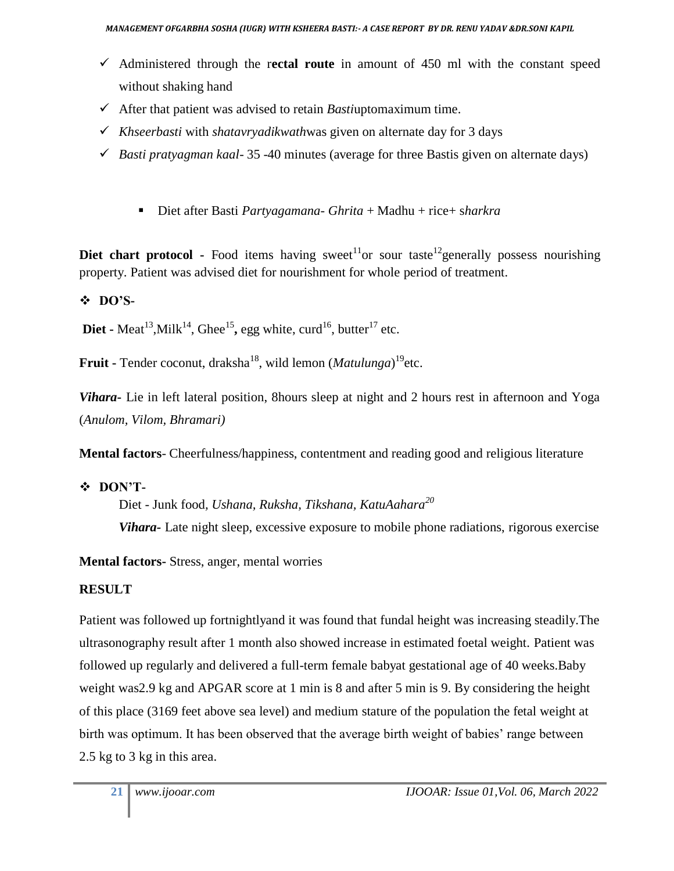- Administered through the r**ectal route** in amount of 450 ml with the constant speed without shaking hand
- $\checkmark$  After that patient was advised to retain *Basti*uptomaximum time.
- *Khseerbasti* with *shatavryadikwath*was given on alternate day for 3 days
- $\checkmark$  *Basti pratyagman kaal*-35 -40 minutes (average for three Bastis given on alternate days)
	- Diet after Basti *Partyagamana- Ghrita* + Madhu + rice+ sharkra

**Diet chart protocol -** Food items having sweet<sup>11</sup> or sour taste<sup>12</sup> generally possess nourishing property. Patient was advised diet for nourishment for whole period of treatment.

## **DO'S-**

**Diet -** Meat<sup>13</sup>, Milk<sup>14</sup>, Ghee<sup>15</sup>, egg white, curd<sup>16</sup>, butter<sup>17</sup> etc.

**Fruit -** Tender coconut, draksha<sup>18</sup>, wild lemon (*Matulunga*) <sup>19</sup>etc.

*Vihara***-** Lie in left lateral position, 8hours sleep at night and 2 hours rest in afternoon and Yoga (*Anulom, Vilom, Bhramari)*

**Mental factors**- Cheerfulness/happiness, contentment and reading good and religious literature

## **DON'T-**

Diet - Junk food*, Ushana, Ruksha, Tikshana, KatuAahara<sup>20</sup>*

*Vihara-* Late night sleep, excessive exposure to mobile phone radiations, rigorous exercise

**Mental factors-** Stress, anger, mental worries

## **RESULT**

Patient was followed up fortnightlyand it was found that fundal height was increasing steadily.The ultrasonography result after 1 month also showed increase in estimated foetal weight. Patient was followed up regularly and delivered a full-term female babyat gestational age of 40 weeks.Baby weight was2.9 kg and APGAR score at 1 min is 8 and after 5 min is 9. By considering the height of this place (3169 feet above sea level) and medium stature of the population the fetal weight at birth was optimum. It has been observed that the average birth weight of babies' range between 2.5 kg to 3 kg in this area.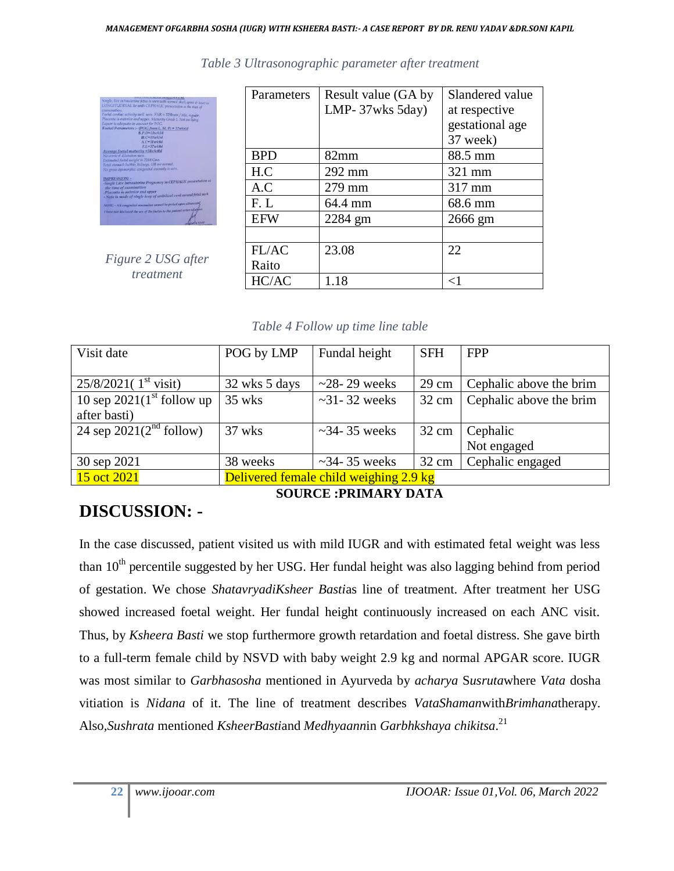| Single, live intrauterine fetus is seen with resenal skall, spine & heart in                |
|---------------------------------------------------------------------------------------------|
| LONGITUDINAL lie with CEPHALIC presentation at the time of                                  |
| examination:                                                                                |
| Foetal cardiac activity well seen. FHR = 129bents / Min. regular.                           |
| Placenta is anterior and upper. Maturity Grade 2. Not low lying.                            |
| Liquor is adequate in amount for POG.                                                       |
| Foetal Parameters :- (POG from L. M. P) = 37wks5d                                           |
| $B.P.D=33wk3d$                                                                              |
| $H.C=33wk5d$                                                                                |
| $A.C=31$ tok4d                                                                              |
| $F.I = 37wk4d$                                                                              |
| Average fortal maturity =34wks0d                                                            |
| No cervical dilatation seen.                                                                |
| Estimated fortal weight is 2284 Gms.                                                        |
| Fetal stomach bubble, kidneys, UB are normal.                                               |
| No gross dysmorphic congenital anomaly is seen.                                             |
| <b>IMPRESSION: -</b>                                                                        |
| Single Live Intrauterine Pregnancy in CEPHALIC presentation at<br>the time of examination   |
| -Placenta is anterior and upper                                                             |
| - Note is made of single loop of umbilical cord around fetal neck                           |
| NOTE - All congestial anomalies cannot be picked upon ultrasound                            |
| I have not disclosed the sex of the foctus to the patient or her relatives<br><b>HEROKE</b> |

*Table 3 Ultrasonographic parameter after treatment*

|           | Figure 2 USG after |  |  |
|-----------|--------------------|--|--|
| treatment |                    |  |  |

| Parameters | Result value (GA by<br>LMP- $37wks$ 5day) | Slandered value<br>at respective<br>gestational age |  |  |
|------------|-------------------------------------------|-----------------------------------------------------|--|--|
|            |                                           | 37 week)                                            |  |  |
| <b>BPD</b> | $82 \text{mm}$                            | 88.5 mm                                             |  |  |
| H.C        | 292 mm                                    | 321 mm                                              |  |  |
| A.C        | 279 mm                                    | 317 mm                                              |  |  |
| F.L        | 64.4 mm                                   | 68.6 mm                                             |  |  |
| <b>EFW</b> | 2284 gm                                   | 2666 gm                                             |  |  |
|            |                                           |                                                     |  |  |
| FL/AC      | 23.08                                     | 22                                                  |  |  |
| Raito      |                                           |                                                     |  |  |
| HC/AC      | 1.18                                      | ${<}1$                                              |  |  |

#### *Table 4 Follow up time line table*

| Visit date                       | POG by LMP                             | Fundal height        | <b>SFH</b>      | <b>FPP</b>              |
|----------------------------------|----------------------------------------|----------------------|-----------------|-------------------------|
|                                  |                                        |                      |                 |                         |
| 25/8/2021(1 <sup>st</sup> visit) | 32 wks 5 days                          | $\sim$ 28-29 weeks   | $29 \text{ cm}$ | Cephalic above the brim |
| 10 sep $2021(1st$ follow up      | 35 wks                                 | $\sim$ 31 - 32 weeks | $32 \text{ cm}$ | Cephalic above the brim |
| after basti)                     |                                        |                      |                 |                         |
| 24 sep $2021(2nd$ follow)        | 37 wks                                 | $\sim$ 34-35 weeks   | $32 \text{ cm}$ | Cephalic                |
|                                  |                                        |                      |                 | Not engaged             |
| 30 sep 2021                      | 38 weeks                               | $\sim$ 34-35 weeks   | $32 \text{ cm}$ | Cephalic engaged        |
| 15 oct 2021                      | Delivered female child weighing 2.9 kg |                      |                 |                         |

# **DISCUSSION: -**

**SOURCE :PRIMARY DATA**

In the case discussed, patient visited us with mild IUGR and with estimated fetal weight was less than 10<sup>th</sup> percentile suggested by her USG. Her fundal height was also lagging behind from period of gestation. We chose *ShatavryadiKsheer Basti*as line of treatment. After treatment her USG showed increased foetal weight. Her fundal height continuously increased on each ANC visit. Thus, by *Ksheera Basti* we stop furthermore growth retardation and foetal distress. She gave birth to a full-term female child by NSVD with baby weight 2.9 kg and normal APGAR score. IUGR was most similar to *Garbhasosha* mentioned in Ayurveda by *acharya* S*usruta*where *Vata* dosha vitiation is *Nidana* of it. The line of treatment describes *VataShaman*with*Brimhana*therapy. Also*,Sushrata* mentioned *KsheerBasti*and *Medhyaann*in *Garbhkshaya chikitsa*. 21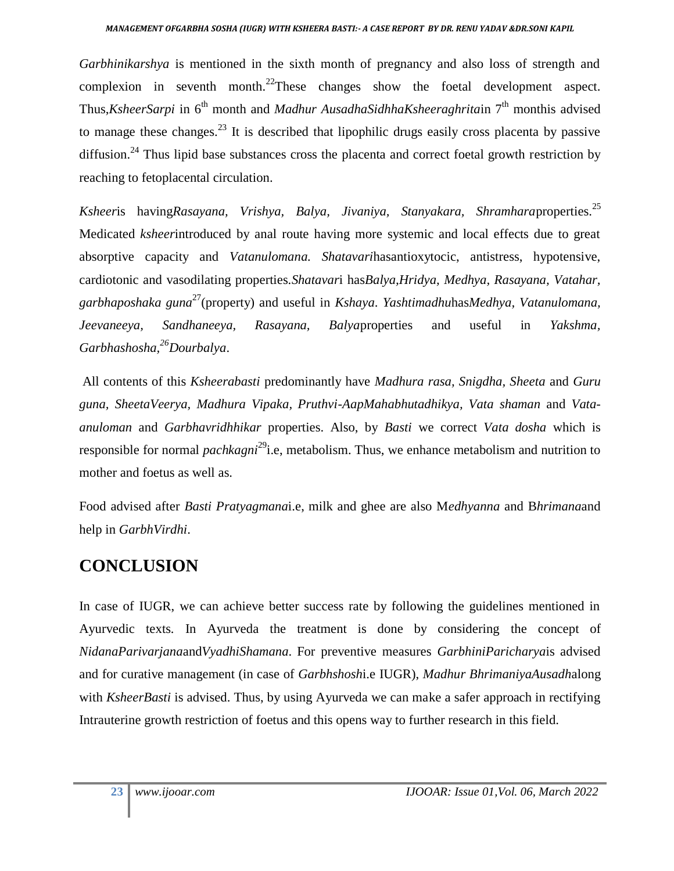#### *MANAGEMENT OFGARBHA SOSHA (IUGR) WITH KSHEERA BASTI:- A CASE REPORT BY DR. RENU YADAV &DR.SONI KAPIL*

*Garbhinikarshya* is mentioned in the sixth month of pregnancy and also loss of strength and complexion in seventh month.<sup>22</sup>These changes show the foetal development aspect. Thus,*KsheerSarpi* in 6<sup>th</sup> month and *Madhur AusadhaSidhhaKsheeraghritain* 7<sup>th</sup> monthis advised to manage these changes.<sup>23</sup> It is described that lipophilic drugs easily cross placenta by passive diffusion.<sup>24</sup> Thus lipid base substances cross the placenta and correct foetal growth restriction by reaching to fetoplacental circulation.

*Ksheer*is having*Rasayana, Vrishya, Balya, Jivaniya, Stanyakara, Shramhara*properties.<sup>25</sup> Medicated *ksheer*introduced by anal route having more systemic and local effects due to great absorptive capacity and *Vatanulomana. Shatavari*hasantioxytocic, antistress, hypotensive, cardiotonic and vasodilating properties.*Shatavar*i has*Balya,Hridya, Medhya, Rasayana, Vatahar, garbhaposhaka guna*<sup>27</sup>(property) and useful in *Kshaya*. *Yashtimadhu*has*Medhya, Vatanulomana, Jeevaneeya, Sandhaneeya, Rasayana, Balya*properties and useful in *Yakshma, Garbhashosha,<sup>26</sup>Dourbalya*.

All contents of this *Ksheerabasti* predominantly have *Madhura rasa, Snigdha, Sheeta* and *Guru guna, SheetaVeerya, Madhura Vipaka, Pruthvi-AapMahabhutadhikya, Vata shaman* and *Vataanuloman* and *Garbhavridhhikar* properties. Also, by *Basti* we correct *Vata dosha* which is responsible for normal *pachkagni*<sup>29</sup>i.e, metabolism. Thus, we enhance metabolism and nutrition to mother and foetus as well as.

Food advised after *Basti Pratyagmana*i.e, milk and ghee are also M*edhyanna* and B*hrimana*and help in *GarbhVirdhi*.

## **CONCLUSION**

In case of IUGR, we can achieve better success rate by following the guidelines mentioned in Ayurvedic texts*.* In Ayurveda the treatment is done by considering the concept of *NidanaParivarjana*and*VyadhiShamana*. For preventive measures *GarbhiniParicharya*is advised and for curative management (in case of *Garbhshosh*i.e IUGR), *Madhur BhrimaniyaAusadh*along with *KsheerBasti* is advised. Thus, by using Ayurveda we can make a safer approach in rectifying Intrauterine growth restriction of foetus and this opens way to further research in this field.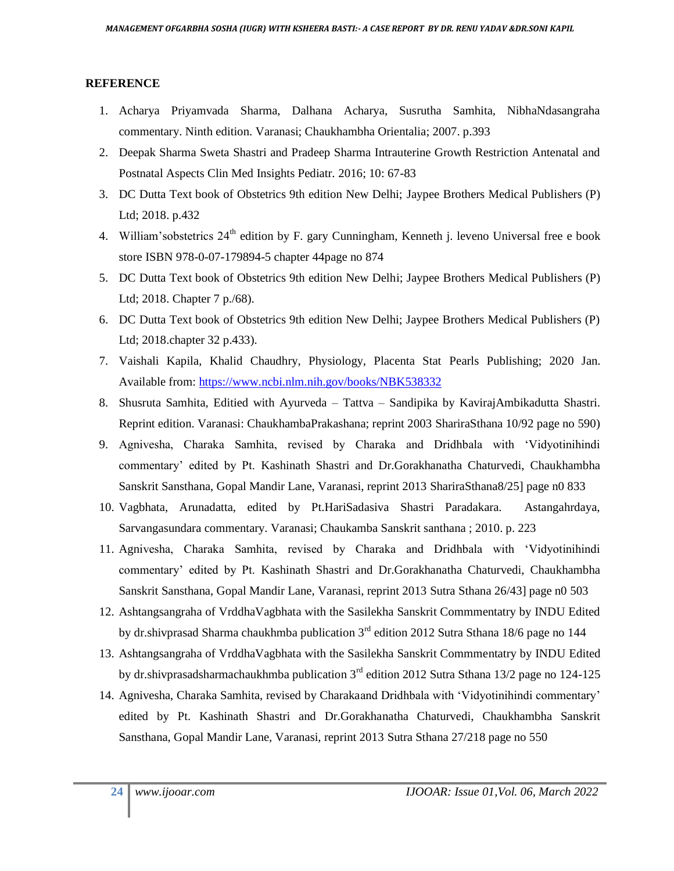#### **REFERENCE**

- 1. Acharya Priyamvada Sharma, Dalhana Acharya, Susrutha Samhita, NibhaNdasangraha commentary. Ninth edition. Varanasi; Chaukhambha Orientalia; 2007. p.393
- 2. Deepak Sharma Sweta Shastri and Pradeep Sharma Intrauterine Growth Restriction Antenatal and Postnatal Aspects Clin Med Insights Pediatr. 2016; 10: 67-83
- 3. DC Dutta Text book of Obstetrics 9th edition New Delhi; Jaypee Brothers Medical Publishers (P) Ltd; 2018. p.432
- 4. William'sobstetrics 24<sup>th</sup> edition by F. gary Cunningham, Kenneth j. leveno Universal free e book store ISBN 978-0-07-179894-5 chapter 44page no 874
- 5. DC Dutta Text book of Obstetrics 9th edition New Delhi; Jaypee Brothers Medical Publishers (P) Ltd; 2018. Chapter 7 p./68).
- 6. DC Dutta Text book of Obstetrics 9th edition New Delhi; Jaypee Brothers Medical Publishers (P) Ltd; 2018.chapter 32 p.433).
- 7. Vaishali Kapila, Khalid Chaudhry, Physiology, Placenta Stat Pearls Publishing; 2020 Jan. Available from:<https://www.ncbi.nlm.nih.gov/books/NBK538332>
- 8. Shusruta Samhita, Editied with Ayurveda Tattva Sandipika by KavirajAmbikadutta Shastri. Reprint edition. Varanasi: ChaukhambaPrakashana; reprint 2003 ShariraSthana 10/92 page no 590)
- 9. Agnivesha, Charaka Samhita, revised by Charaka and Dridhbala with 'Vidyotinihindi commentary' edited by Pt. Kashinath Shastri and Dr.Gorakhanatha Chaturvedi, Chaukhambha Sanskrit Sansthana, Gopal Mandir Lane, Varanasi, reprint 2013 ShariraSthana8/25] page n0 833
- 10. Vagbhata, Arunadatta, edited by Pt.HariSadasiva Shastri Paradakara. Astangahrdaya, Sarvangasundara commentary. Varanasi; Chaukamba Sanskrit santhana ; 2010. p. 223
- 11. Agnivesha, Charaka Samhita, revised by Charaka and Dridhbala with 'Vidyotinihindi commentary' edited by Pt. Kashinath Shastri and Dr.Gorakhanatha Chaturvedi, Chaukhambha Sanskrit Sansthana, Gopal Mandir Lane, Varanasi, reprint 2013 Sutra Sthana 26/43] page n0 503
- 12. Ashtangsangraha of VrddhaVagbhata with the Sasilekha Sanskrit Commmentatry by INDU Edited by dr.shivprasad Sharma chaukhmba publication  $3<sup>rd</sup>$  edition 2012 Sutra Sthana 18/6 page no 144
- 13. Ashtangsangraha of VrddhaVagbhata with the Sasilekha Sanskrit Commmentatry by INDU Edited by dr.shivprasadsharmachaukhmba publication  $3<sup>rd</sup>$  edition 2012 Sutra Sthana 13/2 page no 124-125
- 14. Agnivesha, Charaka Samhita, revised by Charakaand Dridhbala with 'Vidyotinihindi commentary' edited by Pt. Kashinath Shastri and Dr.Gorakhanatha Chaturvedi, Chaukhambha Sanskrit Sansthana, Gopal Mandir Lane, Varanasi, reprint 2013 Sutra Sthana 27/218 page no 550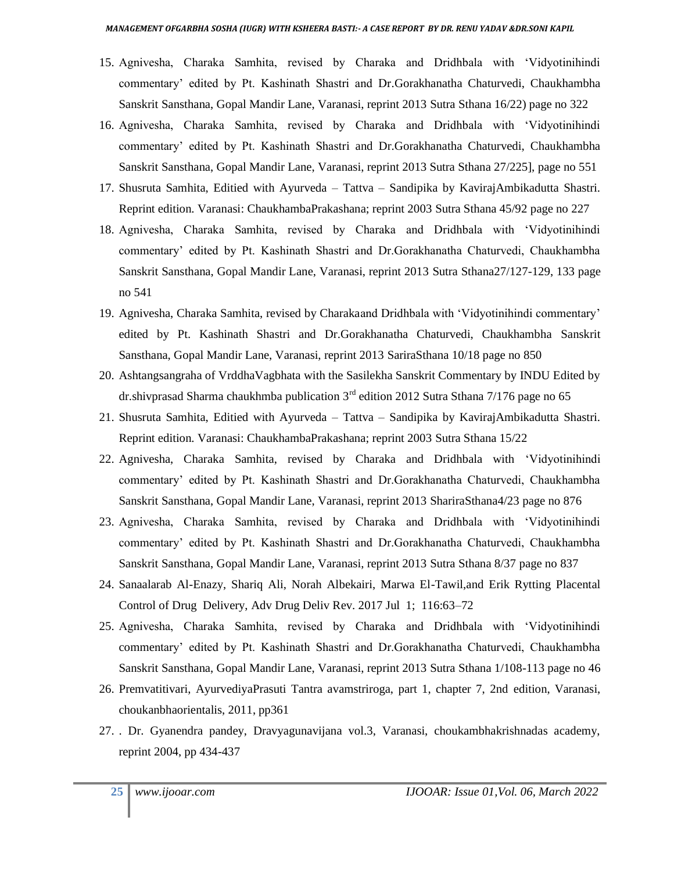- 15. Agnivesha, Charaka Samhita, revised by Charaka and Dridhbala with 'Vidyotinihindi commentary' edited by Pt. Kashinath Shastri and Dr.Gorakhanatha Chaturvedi, Chaukhambha Sanskrit Sansthana, Gopal Mandir Lane, Varanasi, reprint 2013 Sutra Sthana 16/22) page no 322
- 16. Agnivesha, Charaka Samhita, revised by Charaka and Dridhbala with 'Vidyotinihindi commentary' edited by Pt. Kashinath Shastri and Dr.Gorakhanatha Chaturvedi, Chaukhambha Sanskrit Sansthana, Gopal Mandir Lane, Varanasi, reprint 2013 Sutra Sthana 27/225], page no 551
- 17. Shusruta Samhita, Editied with Ayurveda Tattva Sandipika by KavirajAmbikadutta Shastri. Reprint edition. Varanasi: ChaukhambaPrakashana; reprint 2003 Sutra Sthana 45/92 page no 227
- 18. Agnivesha, Charaka Samhita, revised by Charaka and Dridhbala with 'Vidyotinihindi commentary' edited by Pt. Kashinath Shastri and Dr.Gorakhanatha Chaturvedi, Chaukhambha Sanskrit Sansthana, Gopal Mandir Lane, Varanasi, reprint 2013 Sutra Sthana27/127-129, 133 page no 541
- 19. Agnivesha, Charaka Samhita, revised by Charakaand Dridhbala with 'Vidyotinihindi commentary' edited by Pt. Kashinath Shastri and Dr.Gorakhanatha Chaturvedi, Chaukhambha Sanskrit Sansthana, Gopal Mandir Lane, Varanasi, reprint 2013 SariraSthana 10/18 page no 850
- 20. Ashtangsangraha of VrddhaVagbhata with the Sasilekha Sanskrit Commentary by INDU Edited by dr.shivprasad Sharma chaukhmba publication  $3<sup>rd</sup>$  edition 2012 Sutra Sthana 7/176 page no 65
- 21. Shusruta Samhita, Editied with Ayurveda Tattva Sandipika by KavirajAmbikadutta Shastri. Reprint edition. Varanasi: ChaukhambaPrakashana; reprint 2003 Sutra Sthana 15/22
- 22. Agnivesha, Charaka Samhita, revised by Charaka and Dridhbala with 'Vidyotinihindi commentary' edited by Pt. Kashinath Shastri and Dr.Gorakhanatha Chaturvedi, Chaukhambha Sanskrit Sansthana, Gopal Mandir Lane, Varanasi, reprint 2013 ShariraSthana4/23 page no 876
- 23. Agnivesha, Charaka Samhita, revised by Charaka and Dridhbala with 'Vidyotinihindi commentary' edited by Pt. Kashinath Shastri and Dr.Gorakhanatha Chaturvedi, Chaukhambha Sanskrit Sansthana, Gopal Mandir Lane, Varanasi, reprint 2013 Sutra Sthana 8/37 page no 837
- 24. Sanaalarab Al-Enazy, Shariq Ali, Norah Albekairi, Marwa El-Tawil,and Erik Rytting Placental Control of Drug Delivery, Adv Drug Deliv Rev. 2017 Jul 1; 116:63–72
- 25. Agnivesha, Charaka Samhita, revised by Charaka and Dridhbala with 'Vidyotinihindi commentary' edited by Pt. Kashinath Shastri and Dr.Gorakhanatha Chaturvedi, Chaukhambha Sanskrit Sansthana, Gopal Mandir Lane, Varanasi, reprint 2013 Sutra Sthana 1/108-113 page no 46
- 26. Premvatitivari, AyurvediyaPrasuti Tantra avamstriroga, part 1, chapter 7, 2nd edition, Varanasi, choukanbhaorientalis, 2011, pp361
- 27. . Dr. Gyanendra pandey, Dravyagunavijana vol.3, Varanasi, choukambhakrishnadas academy, reprint 2004, pp 434-437